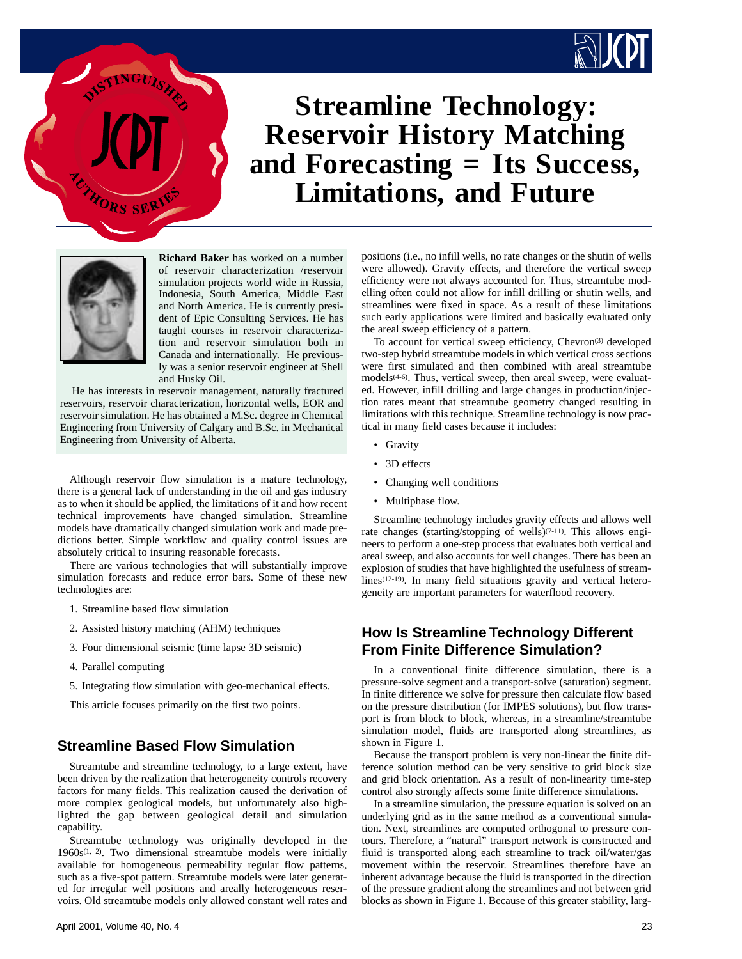

# **Streamline Technology: Reservoir History Matching and Forecasting = Its Success, Limitations, and Future**



ORS SER

**Richard Baker** has worked on a number of reservoir characterization /reservoir simulation projects world wide in Russia, Indonesia, South America, Middle East and North America. He is currently president of Epic Consulting Services. He has taught courses in reservoir characterization and reservoir simulation both in Canada and internationally. He previously was a senior reservoir engineer at Shell and Husky Oil.

He has interests in reservoir management, naturally fractured reservoirs, reservoir characterization, horizontal wells, EOR and reservoir simulation. He has obtained a M.Sc. degree in Chemical Engineering from University of Calgary and B.Sc. in Mechanical Engineering from University of Alberta.

Although reservoir flow simulation is a mature technology, there is a general lack of understanding in the oil and gas industry as to when it should be applied, the limitations of it and how recent technical improvements have changed simulation. Streamline models have dramatically changed simulation work and made predictions better. Simple workflow and quality control issues are absolutely critical to insuring reasonable forecasts.

There are various technologies that will substantially improve simulation forecasts and reduce error bars. Some of these new technologies are:

- 1. Streamline based flow simulation
- 2. Assisted history matching (AHM) techniques
- 3. Four dimensional seismic (time lapse 3D seismic)
- 4. Parallel computing
- 5. Integrating flow simulation with geo-mechanical effects.

This article focuses primarily on the first two points.

#### **Streamline Based Flow Simulation**

Streamtube and streamline technology, to a large extent, have been driven by the realization that heterogeneity controls recovery factors for many fields. This realization caused the derivation of more complex geological models, but unfortunately also highlighted the gap between geological detail and simulation capability.

Streamtube technology was originally developed in the  $1960s^{(1, 2)}$ . Two dimensional streamtube models were initially available for homogeneous permeability regular flow patterns, such as a five-spot pattern. Streamtube models were later generated for irregular well positions and areally heterogeneous reservoirs. Old streamtube models only allowed constant well rates and positions (i.e., no infill wells, no rate changes or the shutin of wells were allowed). Gravity effects, and therefore the vertical sweep efficiency were not always accounted for. Thus, streamtube modelling often could not allow for infill drilling or shutin wells, and streamlines were fixed in space. As a result of these limitations such early applications were limited and basically evaluated only the areal sweep efficiency of a pattern.

To account for vertical sweep efficiency, Chevron<sup>(3)</sup> developed two-step hybrid streamtube models in which vertical cross sections were first simulated and then combined with areal streamtube models<sup>(4-6)</sup>. Thus, vertical sweep, then areal sweep, were evaluated. However, infill drilling and large changes in production/injection rates meant that streamtube geometry changed resulting in limitations with this technique. Streamline technology is now practical in many field cases because it includes:

- Gravity
- 3D effects
- Changing well conditions
- Multiphase flow.

Streamline technology includes gravity effects and allows well rate changes (starting/stopping of wells)<sup>(7-11)</sup>. This allows engineers to perform a one-step process that evaluates both vertical and areal sweep, and also accounts for well changes. There has been an explosion of studies that have highlighted the usefulness of streamlines<sup>(12-19)</sup>. In many field situations gravity and vertical heterogeneity are important parameters for waterflood recovery.

## **How Is Streamline Technology Different From Finite Difference Simulation?**

In a conventional finite difference simulation, there is a pressure-solve segment and a transport-solve (saturation) segment. In finite difference we solve for pressure then calculate flow based on the pressure distribution (for IMPES solutions), but flow transport is from block to block, whereas, in a streamline/streamtube simulation model, fluids are transported along streamlines, as shown in Figure 1.

Because the transport problem is very non-linear the finite difference solution method can be very sensitive to grid block size and grid block orientation. As a result of non-linearity time-step control also strongly affects some finite difference simulations.

In a streamline simulation, the pressure equation is solved on an underlying grid as in the same method as a conventional simulation. Next, streamlines are computed orthogonal to pressure contours. Therefore, a "natural" transport network is constructed and fluid is transported along each streamline to track oil/water/gas movement within the reservoir. Streamlines therefore have an inherent advantage because the fluid is transported in the direction of the pressure gradient along the streamlines and not between grid blocks as shown in Figure 1. Because of this greater stability, larg-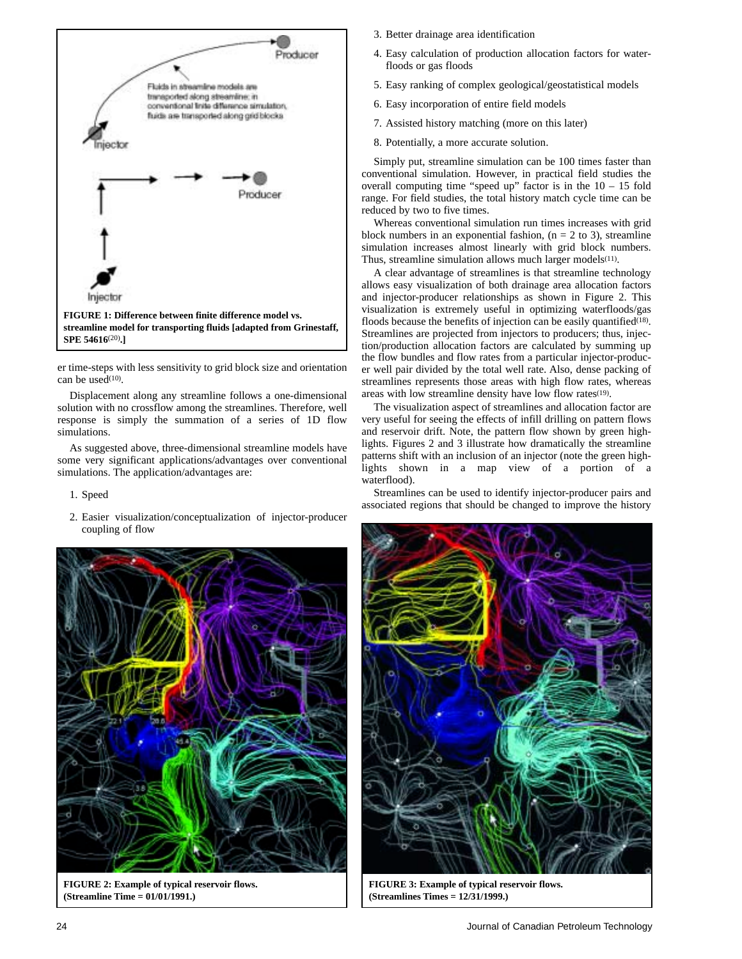

er time-steps with less sensitivity to grid block size and orientation can be used<sup>(10)</sup>.

Displacement along any streamline follows a one-dimensional solution with no crossflow among the streamlines. Therefore, well response is simply the summation of a series of 1D flow simulations.

As suggested above, three-dimensional streamline models have some very significant applications/advantages over conventional simulations. The application/advantages are:

#### 1. Speed

2. Easier visualization/conceptualization of injector-producer coupling of flow

- 3. Better drainage area identification
- 4. Easy calculation of production allocation factors for waterfloods or gas floods
- 5. Easy ranking of complex geological/geostatistical models
- 6. Easy incorporation of entire field models
- 7. Assisted history matching (more on this later)
- 8. Potentially, a more accurate solution.

Simply put, streamline simulation can be 100 times faster than conventional simulation. However, in practical field studies the overall computing time "speed up" factor is in the 10 – 15 fold range. For field studies, the total history match cycle time can be reduced by two to five times.

Whereas conventional simulation run times increases with grid block numbers in an exponential fashion,  $(n = 2$  to 3), streamline simulation increases almost linearly with grid block numbers. Thus, streamline simulation allows much larger models(11).

A clear advantage of streamlines is that streamline technology allows easy visualization of both drainage area allocation factors and injector-producer relationships as shown in Figure 2. This visualization is extremely useful in optimizing waterfloods/gas floods because the benefits of injection can be easily quantified $(18)$ . Streamlines are projected from injectors to producers; thus, injection/production allocation factors are calculated by summing up the flow bundles and flow rates from a particular injector-producer well pair divided by the total well rate. Also, dense packing of streamlines represents those areas with high flow rates, whereas areas with low streamline density have low flow rates<sup>(19)</sup>.

The visualization aspect of streamlines and allocation factor are very useful for seeing the effects of infill drilling on pattern flows and reservoir drift. Note, the pattern flow shown by green highlights. Figures 2 and 3 illustrate how dramatically the streamline patterns shift with an inclusion of an injector (note the green highlights shown in a map view of a portion of a waterflood).

Streamlines can be used to identify injector-producer pairs and associated regions that should be changed to improve the history



**FIGURE 2: Example of typical reservoir flows. (Streamline Time = 01/01/1991.)**



**FIGURE 3: Example of typical reservoir flows. (Streamlines Times = 12/31/1999.)**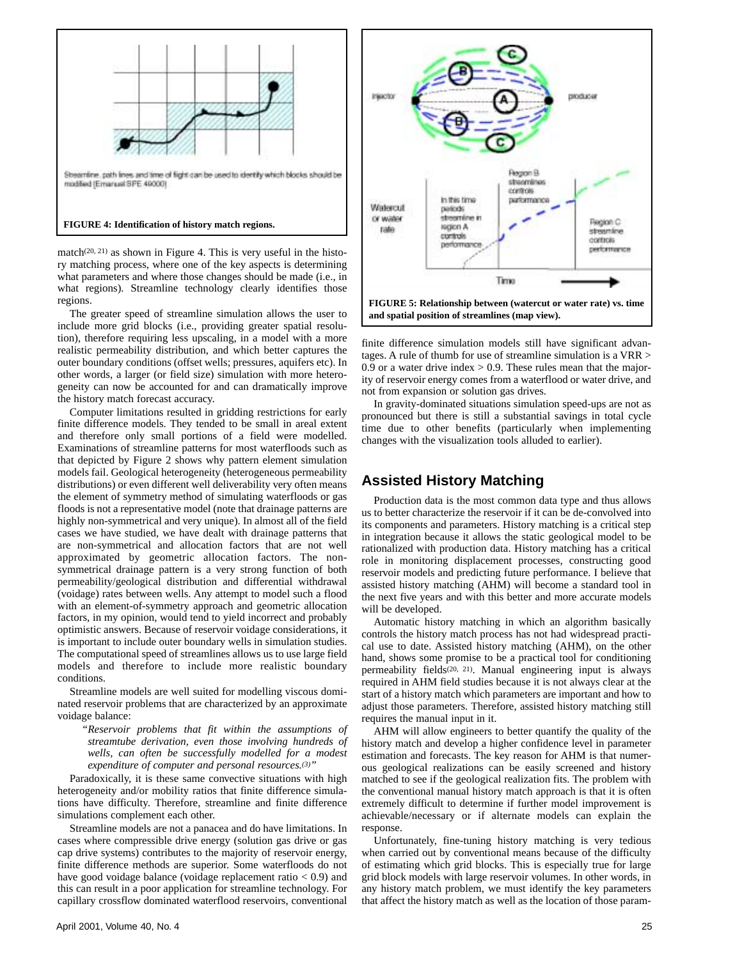

match(20, 21) as shown in Figure 4. This is very useful in the history matching process, where one of the key aspects is determining what parameters and where those changes should be made (i.e., in what regions). Streamline technology clearly identifies those regions.

The greater speed of streamline simulation allows the user to include more grid blocks (i.e., providing greater spatial resolution), therefore requiring less upscaling, in a model with a more realistic permeability distribution, and which better captures the outer boundary conditions (offset wells; pressures, aquifers etc). In other words, a larger (or field size) simulation with more heterogeneity can now be accounted for and can dramatically improve the history match forecast accuracy.

Computer limitations resulted in gridding restrictions for early finite difference models. They tended to be small in areal extent and therefore only small portions of a field were modelled. Examinations of streamline patterns for most waterfloods such as that depicted by Figure 2 shows why pattern element simulation models fail. Geological heterogeneity (heterogeneous permeability distributions) or even different well deliverability very often means the element of symmetry method of simulating waterfloods or gas floods is not a representative model (note that drainage patterns are highly non-symmetrical and very unique). In almost all of the field cases we have studied, we have dealt with drainage patterns that are non-symmetrical and allocation factors that are not well approximated by geometric allocation factors. The nonsymmetrical drainage pattern is a very strong function of both permeability/geological distribution and differential withdrawal (voidage) rates between wells. Any attempt to model such a flood with an element-of-symmetry approach and geometric allocation factors, in my opinion, would tend to yield incorrect and probably optimistic answers. Because of reservoir voidage considerations, it is important to include outer boundary wells in simulation studies. The computational speed of streamlines allows us to use large field models and therefore to include more realistic boundary conditions.

Streamline models are well suited for modelling viscous dominated reservoir problems that are characterized by an approximate voidage balance:

*"Reservoir problems that fit within the assumptions of streamtube derivation, even those involving hundreds of wells, can often be successfully modelled for a modest expenditure of computer and personal resources.(3)"*

Paradoxically, it is these same convective situations with high heterogeneity and/or mobility ratios that finite difference simulations have difficulty. Therefore, streamline and finite difference simulations complement each other.

Streamline models are not a panacea and do have limitations. In cases where compressible drive energy (solution gas drive or gas cap drive systems) contributes to the majority of reservoir energy, finite difference methods are superior. Some waterfloods do not have good voidage balance (voidage replacement ratio < 0.9) and this can result in a poor application for streamline technology. For capillary crossflow dominated waterflood reservoirs, conventional



finite difference simulation models still have significant advantages. A rule of thumb for use of streamline simulation is a VRR > 0.9 or a water drive index  $> 0.9$ . These rules mean that the majority of reservoir energy comes from a waterflood or water drive, and not from expansion or solution gas drives.

In gravity-dominated situations simulation speed-ups are not as pronounced but there is still a substantial savings in total cycle time due to other benefits (particularly when implementing changes with the visualization tools alluded to earlier).

#### **Assisted History Matching**

Production data is the most common data type and thus allows us to better characterize the reservoir if it can be de-convolved into its components and parameters. History matching is a critical step in integration because it allows the static geological model to be rationalized with production data. History matching has a critical role in monitoring displacement processes, constructing good reservoir models and predicting future performance. I believe that assisted history matching (AHM) will become a standard tool in the next five years and with this better and more accurate models will be developed.

Automatic history matching in which an algorithm basically controls the history match process has not had widespread practical use to date. Assisted history matching (AHM), on the other hand, shows some promise to be a practical tool for conditioning permeability fields(20, 21). Manual engineering input is always required in AHM field studies because it is not always clear at the start of a history match which parameters are important and how to adjust those parameters. Therefore, assisted history matching still requires the manual input in it.

AHM will allow engineers to better quantify the quality of the history match and develop a higher confidence level in parameter estimation and forecasts. The key reason for AHM is that numerous geological realizations can be easily screened and history matched to see if the geological realization fits. The problem with the conventional manual history match approach is that it is often extremely difficult to determine if further model improvement is achievable/necessary or if alternate models can explain the response.

Unfortunately, fine-tuning history matching is very tedious when carried out by conventional means because of the difficulty of estimating which grid blocks. This is especially true for large grid block models with large reservoir volumes. In other words, in any history match problem, we must identify the key parameters that affect the history match as well as the location of those param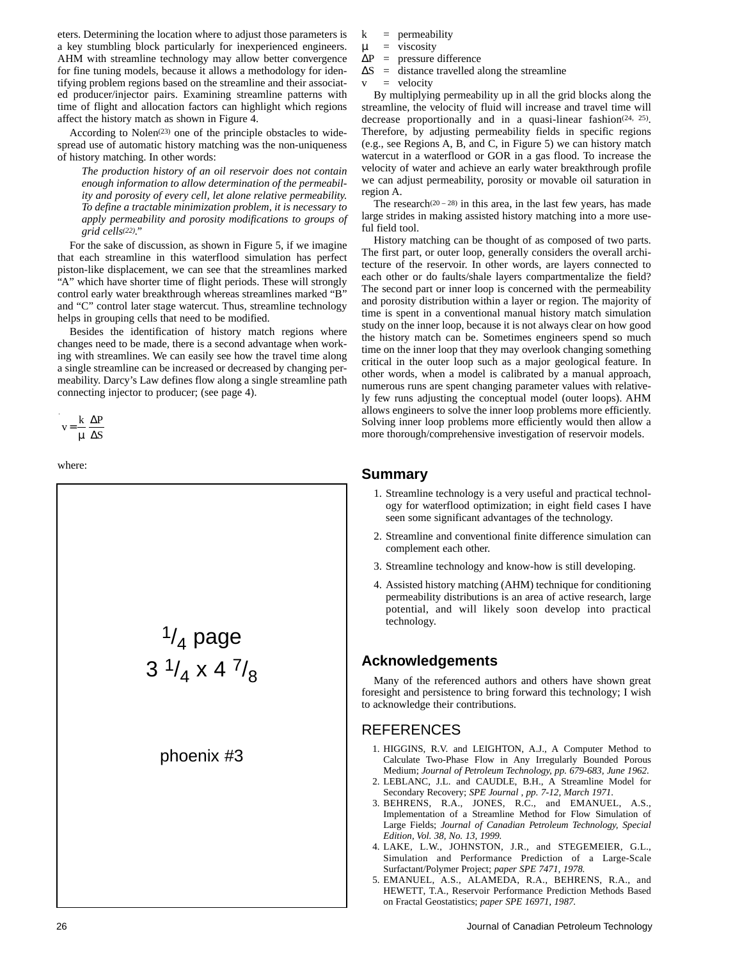eters. Determining the location where to adjust those parameters is a key stumbling block particularly for inexperienced engineers. AHM with streamline technology may allow better convergence for fine tuning models, because it allows a methodology for identifying problem regions based on the streamline and their associated producer/injector pairs. Examining streamline patterns with time of flight and allocation factors can highlight which regions affect the history match as shown in Figure 4.

According to  $Nolen^{(23)}$  one of the principle obstacles to widespread use of automatic history matching was the non-uniqueness of history matching. In other words:

*The production history of an oil reservoir does not contain enough information to allow determination of the permeability and porosity of every cell, let alone relative permeability. To define a tractable minimization problem, it is necessary to apply permeability and porosity modifications to groups of grid cells(22)."*

For the sake of discussion, as shown in Figure 5, if we imagine that each streamline in this waterflood simulation has perfect piston-like displacement, we can see that the streamlines marked "A" which have shorter time of flight periods. These will strongly control early water breakthrough whereas streamlines marked "B" and "C" control later stage watercut. Thus, streamline technology helps in grouping cells that need to be modified.

Besides the identification of history match regions where changes need to be made, there is a second advantage when working with streamlines. We can easily see how the travel time along a single streamline can be increased or decreased by changing permeability. Darcy's Law defines flow along a single streamline path connecting injector to producer; (see page 4).

```
v = \frac{k}{\mu} \frac{\Delta P}{\Delta S}∆
```
where:



- $k =$  permeability
- $\mu$  = viscosity
- $\Delta P$  = pressure difference<br> $\Delta S$  = distance travelled a
- distance travelled along the streamline
- $v =$  velocity

By multiplying permeability up in all the grid blocks along the streamline, the velocity of fluid will increase and travel time will decrease proportionally and in a quasi-linear fashion<sup>(24, 25)</sup>. Therefore, by adjusting permeability fields in specific regions (e.g., see Regions A, B, and C, in Figure 5) we can history match watercut in a waterflood or GOR in a gas flood. To increase the velocity of water and achieve an early water breakthrough profile we can adjust permeability, porosity or movable oil saturation in region A.

The research<sup>(20 – 28)</sup> in this area, in the last few years, has made large strides in making assisted history matching into a more useful field tool.

History matching can be thought of as composed of two parts. The first part, or outer loop, generally considers the overall architecture of the reservoir. In other words, are layers connected to each other or do faults/shale layers compartmentalize the field? The second part or inner loop is concerned with the permeability and porosity distribution within a layer or region. The majority of time is spent in a conventional manual history match simulation study on the inner loop, because it is not always clear on how good the history match can be. Sometimes engineers spend so much time on the inner loop that they may overlook changing something critical in the outer loop such as a major geological feature. In other words, when a model is calibrated by a manual approach, numerous runs are spent changing parameter values with relatively few runs adjusting the conceptual model (outer loops). AHM allows engineers to solve the inner loop problems more efficiently. Solving inner loop problems more efficiently would then allow a more thorough/comprehensive investigation of reservoir models.

### **Summary**

- 1. Streamline technology is a very useful and practical technology for waterflood optimization; in eight field cases I have seen some significant advantages of the technology.
- 2. Streamline and conventional finite difference simulation can complement each other.
- 3. Streamline technology and know-how is still developing.
- 4. Assisted history matching (AHM) technique for conditioning permeability distributions is an area of active research, large potential, and will likely soon develop into practical technology.

#### **Acknowledgements**

Many of the referenced authors and others have shown great foresight and persistence to bring forward this technology; I wish to acknowledge their contributions.

## REFERENCES

- 1. HIGGINS, R.V. and LEIGHTON, A.J., A Computer Method to Calculate Two-Phase Flow in Any Irregularly Bounded Porous Medium; *Journal of Petroleum Technology, pp. 679-683, June 1962.*
- 2. LEBLANC, J.L. and CAUDLE, B.H., A Streamline Model for Secondary Recovery; *SPE Journal , pp. 7-12, March 1971.*
- 3. BEHRENS, R.A., JONES, R.C., and EMANUEL, A.S., Implementation of a Streamline Method for Flow Simulation of Large Fields; *Journal of Canadian Petroleum Technology, Special Edition, Vol. 38, No. 13, 1999.*
- 4. LAKE, L.W., JOHNSTON, J.R., and STEGEMEIER, G.L., Simulation and Performance Prediction of a Large-Scale Surfactant/Polymer Project; *paper SPE 7471, 1978.*
- 5. EMANUEL, A.S., ALAMEDA, R.A., BEHRENS, R.A., and HEWETT, T.A., Reservoir Performance Prediction Methods Based on Fractal Geostatistics; *paper SPE 16971, 1987.*